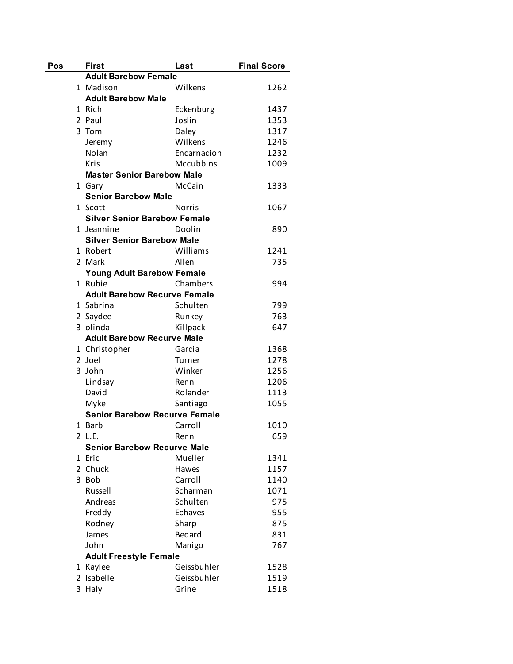| Pos | <b>First</b>                         | Last          | <b>Final Score</b> |
|-----|--------------------------------------|---------------|--------------------|
|     | <b>Adult Barebow Female</b>          |               |                    |
|     | 1 Madison                            | Wilkens       | 1262               |
|     | <b>Adult Barebow Male</b>            |               |                    |
|     | 1 Rich                               | Eckenburg     | 1437               |
|     | 2 Paul                               | Joslin        | 1353               |
|     | 3 Tom                                | Daley         | 1317               |
|     | Jeremy                               | Wilkens       | 1246               |
|     | Nolan                                | Encarnacion   | 1232               |
|     | <b>Kris</b>                          | Mccubbins     | 1009               |
|     | <b>Master Senior Barebow Male</b>    |               |                    |
|     | 1 Gary                               | McCain        | 1333               |
|     | <b>Senior Barebow Male</b>           |               |                    |
|     | 1 Scott                              | Norris        | 1067               |
|     | <b>Silver Senior Barebow Female</b>  |               |                    |
|     | 1 Jeannine                           | Doolin        | 890                |
|     | <b>Silver Senior Barebow Male</b>    |               |                    |
|     | 1 Robert                             | Williams      | 1241               |
|     | 2 Mark                               | Allen         | 735                |
|     | <b>Young Adult Barebow Female</b>    |               |                    |
|     | 1 Rubie                              | Chambers      | 994                |
|     | <b>Adult Barebow Recurve Female</b>  |               |                    |
|     | 1 Sabrina                            | Schulten      | 799                |
|     | 2 Saydee                             | Runkey        | 763                |
|     | 3 olinda                             | Killpack      | 647                |
|     | <b>Adult Barebow Recurve Male</b>    |               |                    |
|     | 1 Christopher                        | Garcia        | 1368               |
|     | 2 Joel                               | Turner        | 1278               |
|     | 3 John                               | Winker        | 1256               |
|     | Lindsay                              | Renn          | 1206               |
|     | David                                | Rolander      | 1113               |
|     | Myke                                 | Santiago      | 1055               |
|     | <b>Senior Barebow Recurve Female</b> |               |                    |
|     | 1 Barb                               | Carroll       | 1010               |
|     | 2 L.E.                               | Renn          | 659                |
|     | <b>Senior Barebow Recurve Male</b>   |               |                    |
|     | 1 Eric                               | Mueller       | 1341               |
|     | 2 Chuck                              | Hawes         | 1157               |
|     | 3 Bob                                | Carroll       | 1140               |
|     | Russell                              | Scharman      | 1071               |
|     | Andreas                              | Schulten      | 975                |
|     | Freddy                               | Echaves       | 955                |
|     | Rodney                               | Sharp         | 875                |
|     | James                                | <b>Bedard</b> | 831                |
|     | John                                 | Manigo        | 767                |
|     | <b>Adult Freestyle Female</b>        |               |                    |
|     | 1 Kaylee                             | Geissbuhler   | 1528               |
|     | 2 Isabelle                           | Geissbuhler   | 1519               |
|     | 3 Haly                               | Grine         | 1518               |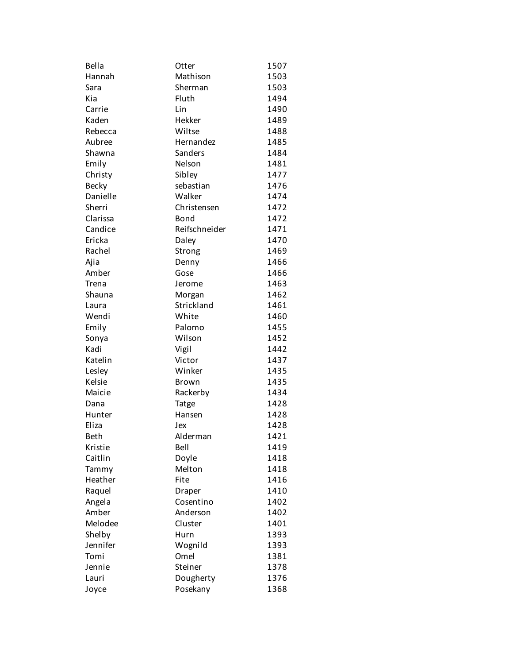| Bella        | Otter         | 1507 |
|--------------|---------------|------|
| Hannah       | Mathison      | 1503 |
| Sara         | Sherman       | 1503 |
| Kia          | Fluth         | 1494 |
| Carrie       | Lin           | 1490 |
| Kaden        | Hekker        | 1489 |
| Rebecca      | Wiltse        | 1488 |
| Aubree       | Hernandez     | 1485 |
| Shawna       | Sanders       | 1484 |
| Emily        | Nelson        | 1481 |
| Christy      | Sibley        | 1477 |
| <b>Becky</b> | sebastian     | 1476 |
| Danielle     | Walker        | 1474 |
| Sherri       | Christensen   | 1472 |
| Clarissa     | Bond          | 1472 |
| Candice      | Reifschneider | 1471 |
| Ericka       | Daley         | 1470 |
| Rachel       | Strong        | 1469 |
| Ajia         | Denny         | 1466 |
| Amber        | Gose          | 1466 |
| Trena        | Jerome        | 1463 |
| Shauna       | Morgan        | 1462 |
| Laura        | Strickland    | 1461 |
| Wendi        | White         | 1460 |
| Emily        | Palomo        | 1455 |
| Sonya        | Wilson        | 1452 |
| Kadi         | Vigil         | 1442 |
| Katelin      | Victor        | 1437 |
| Lesley       | Winker        | 1435 |
| Kelsie       | Brown         | 1435 |
| Maicie       | Rackerby      | 1434 |
| Dana         | Tatge         | 1428 |
| Hunter       | Hansen        | 1428 |
| Eliza        | Jex           | 1428 |
| <b>Beth</b>  | Alderman      | 1421 |
| Kristie      | Bell          | 1419 |
| Caitlin      | Doyle         | 1418 |
| Tammy        | Melton        | 1418 |
| Heather      | Fite          | 1416 |
| Raquel       | Draper        | 1410 |
| Angela       | Cosentino     | 1402 |
| Amber        | Anderson      | 1402 |
| Melodee      | Cluster       | 1401 |
| Shelby       | Hurn          | 1393 |
| Jennifer     | Wognild       | 1393 |
| Tomi         | Omel          | 1381 |
| Jennie       | Steiner       | 1378 |
| Lauri        | Dougherty     | 1376 |
| Joyce        | Posekany      | 1368 |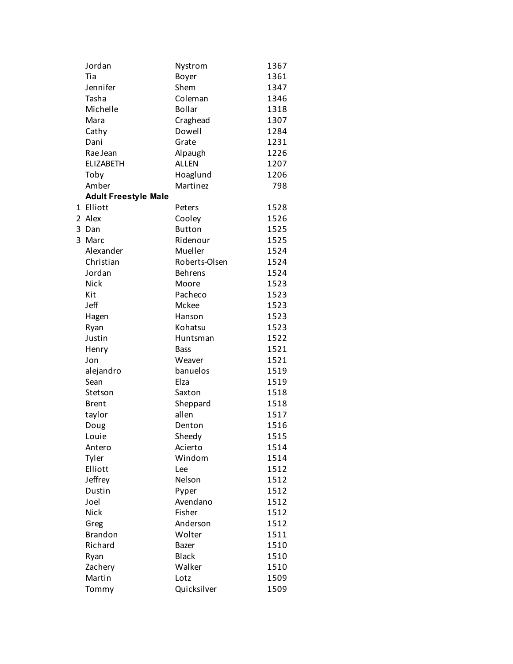|   | Jordan                      | Nystrom        | 1367 |
|---|-----------------------------|----------------|------|
|   | Tia                         | Boyer          | 1361 |
|   | Jennifer                    | Shem           | 1347 |
|   | Tasha                       | Coleman        | 1346 |
|   | Michelle                    | <b>Bollar</b>  | 1318 |
|   | Mara                        | Craghead       | 1307 |
|   | Cathy                       | Dowell         | 1284 |
|   | Dani                        | Grate          | 1231 |
|   | Rae Jean                    | Alpaugh        | 1226 |
|   | <b>ELIZABETH</b>            | <b>ALLEN</b>   | 1207 |
|   | Toby                        | Hoaglund       | 1206 |
|   | Amber                       | Martinez       | 798  |
|   | <b>Adult Freestyle Male</b> |                |      |
|   | 1 Elliott                   | Peters         | 1528 |
|   | 2 Alex                      | Cooley         | 1526 |
|   | 3 Dan                       | <b>Button</b>  | 1525 |
| 3 | Marc                        | Ridenour       | 1525 |
|   | Alexander                   | Mueller        | 1524 |
|   | Christian                   | Roberts-Olsen  | 1524 |
|   | Jordan                      | <b>Behrens</b> | 1524 |
|   | Nick                        | Moore          | 1523 |
|   | Kit                         | Pacheco        | 1523 |
|   | Jeff                        | Mckee          | 1523 |
|   | Hagen                       | Hanson         | 1523 |
|   | Ryan                        | Kohatsu        | 1523 |
|   | Justin                      | Huntsman       | 1522 |
|   | Henry                       | <b>Bass</b>    | 1521 |
|   | Jon                         | Weaver         | 1521 |
|   | alejandro                   | banuelos       | 1519 |
|   | Sean                        | Elza           | 1519 |
|   | Stetson                     | Saxton         | 1518 |
|   | <b>Brent</b>                | Sheppard       | 1518 |
|   | taylor                      | allen          | 1517 |
|   | Doug                        | Denton         | 1516 |
|   | Louie                       | Sheedy         | 1515 |
|   | Antero                      | Acierto        | 1514 |
|   | Tyler                       | Windom         | 1514 |
|   | Elliott                     | Lee            | 1512 |
|   | Jeffrey                     | Nelson         | 1512 |
|   | Dustin                      | Pyper          | 1512 |
|   | Joel                        | Avendano       | 1512 |
|   | Nick                        | Fisher         | 1512 |
|   | Greg                        | Anderson       | 1512 |
|   | <b>Brandon</b>              | Wolter         | 1511 |
|   | Richard                     | Bazer          | 1510 |
|   | Ryan                        | <b>Black</b>   | 1510 |
|   | Zachery                     | Walker         | 1510 |
|   | Martin                      | Lotz           | 1509 |
|   | Tommy                       | Quicksilver    | 1509 |
|   |                             |                |      |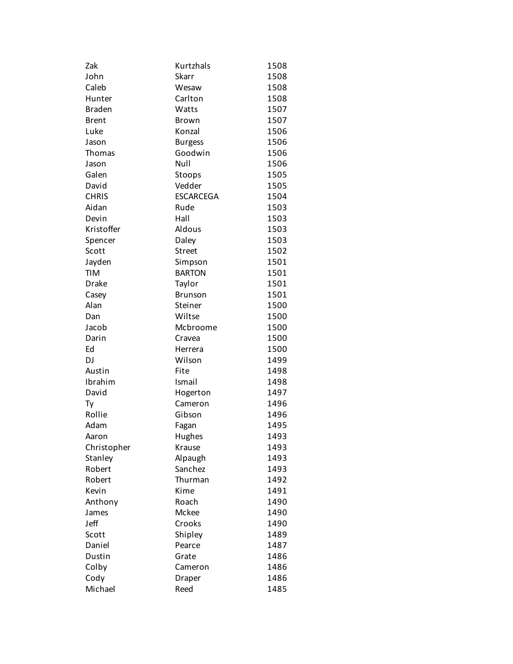| Zak           | Kurtzhals        | 1508 |
|---------------|------------------|------|
| John          | Skarr            | 1508 |
| Caleb         | Wesaw            | 1508 |
| Hunter        | Carlton          | 1508 |
| <b>Braden</b> | Watts            | 1507 |
| <b>Brent</b>  | <b>Brown</b>     | 1507 |
| Luke          | Konzal           | 1506 |
| Jason         | <b>Burgess</b>   | 1506 |
| Thomas        | Goodwin          | 1506 |
| Jason         | Null             | 1506 |
| Galen         | Stoops           | 1505 |
| David         | Vedder           | 1505 |
| <b>CHRIS</b>  | <b>ESCARCEGA</b> | 1504 |
| Aidan         | Rude             | 1503 |
| Devin         | Hall             | 1503 |
| Kristoffer    | Aldous           | 1503 |
| Spencer       | Daley            | 1503 |
| Scott         | <b>Street</b>    | 1502 |
| Jayden        | Simpson          | 1501 |
| <b>TIM</b>    | <b>BARTON</b>    | 1501 |
| <b>Drake</b>  | Taylor           | 1501 |
| Casey         | Brunson          | 1501 |
| Alan          | Steiner          | 1500 |
| Dan           | Wiltse           | 1500 |
| Jacob         | Mcbroome         | 1500 |
| Darin         | Cravea           | 1500 |
| Ed            | Herrera          | 1500 |
| DJ            | Wilson           | 1499 |
| Austin        | Fite             | 1498 |
| Ibrahim       | Ismail           | 1498 |
| David         | Hogerton         | 1497 |
| Ty            | Cameron          | 1496 |
| Rollie        | Gibson           | 1496 |
| Adam          | Fagan            | 1495 |
| Aaron         | Hughes           | 1493 |
| Christopher   | Krause           | 1493 |
| Stanley       | Alpaugh          | 1493 |
| Robert        | Sanchez          | 1493 |
| Robert        | Thurman          | 1492 |
| Kevin         | Kime             | 1491 |
| Anthony       | Roach            | 1490 |
| James         | Mckee            | 1490 |
| Jeff          | Crooks           | 1490 |
| Scott         | Shipley          | 1489 |
| Daniel        | Pearce           | 1487 |
| Dustin        | Grate            | 1486 |
| Colby         | Cameron          | 1486 |
| Cody          | Draper           | 1486 |
| Michael       | Reed             | 1485 |
|               |                  |      |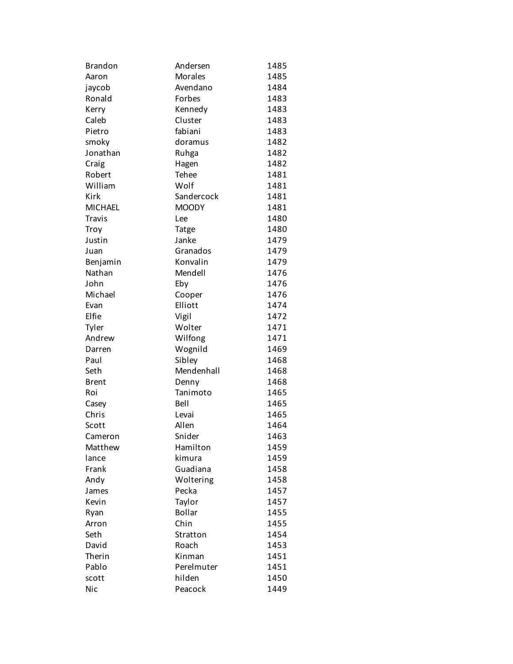| <b>Brandon</b> | Andersen       | 1485 |
|----------------|----------------|------|
| Aaron          | <b>Morales</b> | 1485 |
| jaycob         | Avendano       | 1484 |
| Ronald         | Forbes         | 1483 |
| Kerry          | Kennedy        | 1483 |
| Caleb          | Cluster        | 1483 |
| Pietro         | fabiani        | 1483 |
| smoky          | doramus        | 1482 |
| Jonathan       | Ruhga          | 1482 |
| Craig          | Hagen          | 1482 |
| Robert         | Tehee          | 1481 |
| William        | Wolf           | 1481 |
| Kirk           | Sandercock     | 1481 |
| <b>MICHAEL</b> | <b>MOODY</b>   | 1481 |
| <b>Travis</b>  | Lee            | 1480 |
| Troy           | Tatge          | 1480 |
| Justin         | Janke          | 1479 |
| Juan           | Granados       | 1479 |
| Benjamin       | Konvalin       | 1479 |
| Nathan         | Mendell        | 1476 |
| John           | Eby            | 1476 |
| Michael        | Cooper         | 1476 |
| Evan           | Elliott        | 1474 |
| Elfie          | Vigil          | 1472 |
| Tyler          | Wolter         | 1471 |
| Andrew         | Wilfong        | 1471 |
| Darren         | Wognild        | 1469 |
| Paul           | Sibley         | 1468 |
| Seth           | Mendenhall     | 1468 |
| <b>Brent</b>   | Denny          | 1468 |
| Roi            | Tanimoto       | 1465 |
| Casey          | Bell           | 1465 |
| Chris          | Levai          | 1465 |
| Scott          | Allen          | 1464 |
| Cameron        | Snider         | 1463 |
| Matthew        | Hamilton       | 1459 |
| lance          | kimura         | 1459 |
| Frank          | Guadiana       | 1458 |
| Andy           | Woltering      | 1458 |
| James          | Pecka          | 1457 |
| Kevin          | Taylor         | 1457 |
| Ryan           | Bollar         | 1455 |
| Arron          | Chin           | 1455 |
| Seth           | Stratton       | 1454 |
| David          | Roach          | 1453 |
| Therin         | Kinman         | 1451 |
| Pablo          | Perelmuter     | 1451 |
| scott          | hilden         | 1450 |
| <b>Nic</b>     | Peacock        | 1449 |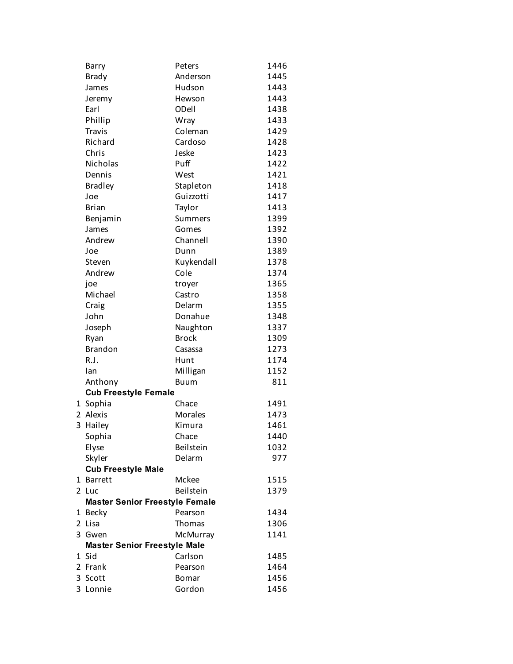| Barry                                 | Peters       | 1446 |
|---------------------------------------|--------------|------|
| <b>Brady</b>                          | Anderson     | 1445 |
| James                                 | Hudson       | 1443 |
| Jeremy                                | Hewson       | 1443 |
| Earl                                  | ODell        | 1438 |
| Phillip                               | Wray         | 1433 |
| <b>Travis</b>                         | Coleman      | 1429 |
| Richard                               | Cardoso      | 1428 |
| Chris                                 | Jeske        | 1423 |
| Nicholas                              | Puff         | 1422 |
| Dennis                                | West         | 1421 |
| <b>Bradley</b>                        | Stapleton    | 1418 |
| Joe                                   | Guizzotti    | 1417 |
| <b>Brian</b>                          | Taylor       | 1413 |
| Benjamin                              | Summers      | 1399 |
| James                                 | Gomes        | 1392 |
| Andrew                                | Channell     | 1390 |
| Joe                                   | Dunn         | 1389 |
| Steven                                | Kuykendall   | 1378 |
| Andrew                                | Cole         | 1374 |
| joe                                   | troyer       | 1365 |
| Michael                               | Castro       | 1358 |
| Craig                                 | Delarm       | 1355 |
| John                                  | Donahue      | 1348 |
| Joseph                                | Naughton     | 1337 |
| Ryan                                  | <b>Brock</b> | 1309 |
| <b>Brandon</b>                        | Casassa      | 1273 |
| R.J.                                  | Hunt         | 1174 |
| Ian                                   | Milligan     | 1152 |
| Anthony                               | <b>Buum</b>  | 811  |
| <b>Cub Freestyle Female</b>           |              |      |
| 1 Sophia                              | Chace        | 1491 |
| 2 Alexis                              | Morales      | 1473 |
| 3 Hailey                              | Kimura       | 1461 |
| Sophia                                | Chace        | 1440 |
| Elyse                                 | Beilstein    | 1032 |
| Skyler                                | Delarm       | 977  |
| <b>Cub Freestyle Male</b>             |              |      |
| 1 Barrett                             | Mckee        | 1515 |
| 2 Luc                                 | Beilstein    | 1379 |
| <b>Master Senior Freestyle Female</b> |              |      |
| 1 Becky                               | Pearson      | 1434 |
| 2 Lisa                                | Thomas       | 1306 |
| 3 Gwen                                | McMurray     | 1141 |
| <b>Master Senior Freestyle Male</b>   |              |      |
| 1 Sid                                 | Carlson      | 1485 |
| 2 Frank                               | Pearson      | 1464 |
| 3 Scott                               | <b>Bomar</b> | 1456 |
| 3 Lonnie                              | Gordon       | 1456 |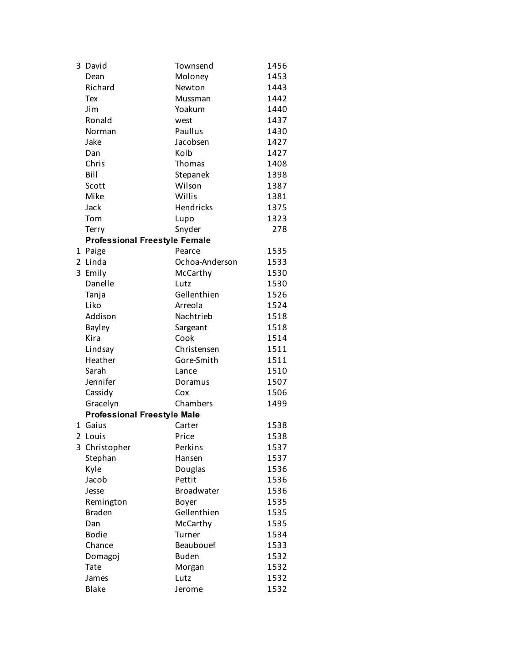| 3 | David                                | Townsend       | 1456 |
|---|--------------------------------------|----------------|------|
|   | Dean                                 | Moloney        | 1453 |
|   | Richard                              | Newton         | 1443 |
|   | Tex                                  | Mussman        | 1442 |
|   | Jim                                  | Yoakum         | 1440 |
|   | Ronald                               | west           | 1437 |
|   | Norman                               | Paullus        | 1430 |
|   | Jake                                 | Jacobsen       | 1427 |
|   | Dan                                  | Kolb           | 1427 |
|   | Chris                                | Thomas         | 1408 |
|   | Bill                                 | Stepanek       | 1398 |
|   | Scott                                | Wilson         | 1387 |
|   | Mike                                 | Willis         | 1381 |
|   | Jack                                 | Hendricks      | 1375 |
|   | Tom                                  | Lupo           | 1323 |
|   | Terry                                | Snyder         | 278  |
|   | <b>Professional Freestyle Female</b> |                |      |
|   | 1 Paige                              | Pearce         | 1535 |
| 2 | Linda                                | Ochoa-Anderson | 1533 |
| 3 | Emily                                | McCarthy       | 1530 |
|   | Danelle                              | Lutz           | 1530 |
|   | Tanja                                | Gellenthien    | 1526 |
|   | Liko                                 | Arreola        | 1524 |
|   | Addison                              | Nachtrieb      | 1518 |
|   | Bayley                               | Sargeant       | 1518 |
|   | Kira                                 | Cook           | 1514 |
|   | Lindsay                              | Christensen    | 1511 |
|   | Heather                              | Gore-Smith     | 1511 |
|   | Sarah                                | Lance          | 1510 |
|   | Jennifer                             | Doramus        | 1507 |
|   | Cassidy                              | Cox            | 1506 |
|   | Gracelyn                             | Chambers       | 1499 |
|   | <b>Professional Freestyle Male</b>   |                |      |
|   | 1 Gaius                              | Carter         | 1538 |
|   | 2 Louis                              | Price          | 1538 |
|   | 3 Christopher                        | Perkins        | 1537 |
|   | Stephan                              | Hansen         | 1537 |
|   | Kyle                                 | Douglas        | 1536 |
|   | Jacob                                | Pettit         | 1536 |
|   | Jesse                                | Broadwater     | 1536 |
|   | Remington                            | Boyer          | 1535 |
|   | <b>Braden</b>                        | Gellenthien    | 1535 |
|   | Dan                                  | McCarthy       | 1535 |
|   | <b>Bodie</b>                         | Turner         | 1534 |
|   | Chance                               | Beaubouef      | 1533 |
|   | Domagoj                              | <b>Buden</b>   | 1532 |
|   | Tate                                 | Morgan         | 1532 |
|   | James                                | Lutz           | 1532 |
|   | <b>Blake</b>                         | Jerome         | 1532 |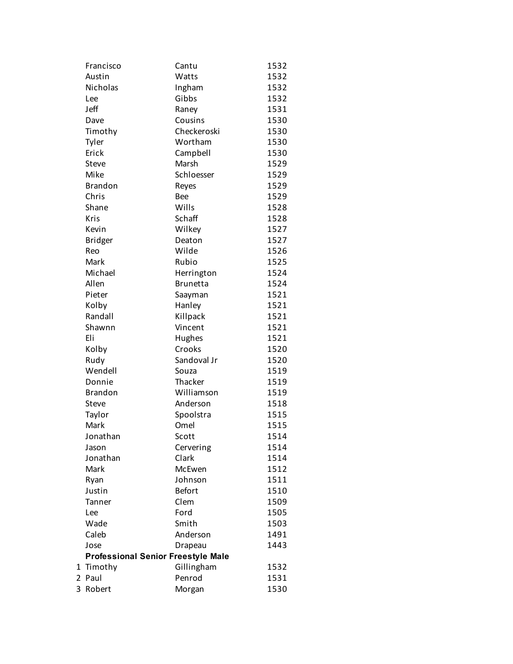| Francisco                                 | Cantu           | 1532 |
|-------------------------------------------|-----------------|------|
| Austin                                    | Watts           | 1532 |
| <b>Nicholas</b>                           | Ingham          | 1532 |
| Lee                                       | Gibbs           | 1532 |
| Jeff                                      | Raney           | 1531 |
| Dave                                      | Cousins         | 1530 |
| Timothy                                   | Checkeroski     | 1530 |
| Tyler                                     | Wortham         | 1530 |
| Erick                                     | Campbell        | 1530 |
| Steve                                     | Marsh           | 1529 |
| Mike                                      | Schloesser      | 1529 |
| <b>Brandon</b>                            | Reyes           | 1529 |
| Chris                                     | <b>Bee</b>      | 1529 |
| Shane                                     | Wills           | 1528 |
| Kris                                      | Schaff          | 1528 |
| Kevin                                     | Wilkey          | 1527 |
| <b>Bridger</b>                            | Deaton          | 1527 |
| Reo                                       | Wilde           | 1526 |
| Mark                                      | Rubio           | 1525 |
| Michael                                   | Herrington      | 1524 |
| Allen                                     | <b>Brunetta</b> | 1524 |
| Pieter                                    | Saayman         | 1521 |
| Kolby                                     | Hanley          | 1521 |
| Randall                                   | Killpack        | 1521 |
| Shawnn                                    | Vincent         | 1521 |
| Eli                                       | Hughes          | 1521 |
| Kolby                                     | Crooks          | 1520 |
| Rudy                                      | Sandoval Jr     | 1520 |
| Wendell                                   | Souza           | 1519 |
| Donnie                                    | Thacker         | 1519 |
| <b>Brandon</b>                            | Williamson      | 1519 |
| <b>Steve</b>                              | Anderson        | 1518 |
| Taylor                                    | Spoolstra       | 1515 |
| Mark                                      | Omel            | 1515 |
| Jonathan                                  | Scott           | 1514 |
| Jason                                     | Cervering       | 1514 |
| Jonathan                                  | Clark           | 1514 |
| Mark                                      | McEwen          | 1512 |
| Ryan                                      | Johnson         | 1511 |
| Justin                                    | <b>Befort</b>   | 1510 |
| Tanner                                    | Clem            | 1509 |
| Lee                                       | Ford            | 1505 |
| Wade                                      | Smith           | 1503 |
| Caleb                                     | Anderson        | 1491 |
| Jose                                      | Drapeau         | 1443 |
| <b>Professional Senior Freestyle Male</b> |                 |      |
| 1 Timothy                                 | Gillingham      | 1532 |
| 2 Paul                                    | Penrod          | 1531 |
| 3 Robert                                  | Morgan          | 1530 |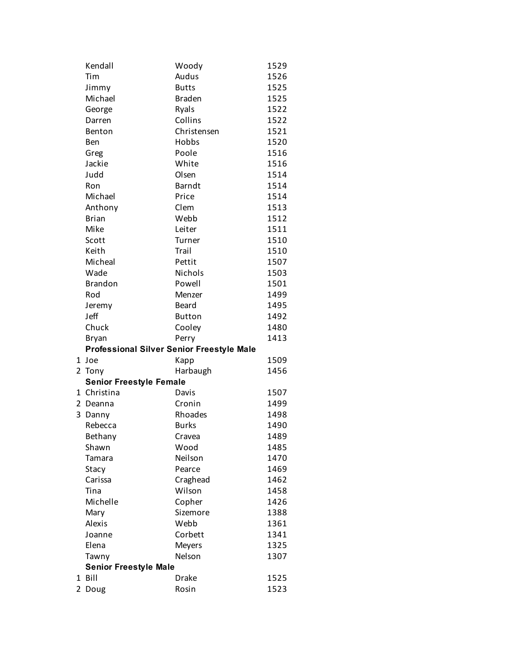| Kendall                        | Woody                                            | 1529 |
|--------------------------------|--------------------------------------------------|------|
| Tim                            | Audus                                            | 1526 |
| Jimmy                          | <b>Butts</b>                                     | 1525 |
| Michael                        | <b>Braden</b>                                    | 1525 |
| George                         | Ryals                                            | 1522 |
| Darren                         | Collins                                          | 1522 |
| Benton                         | Christensen                                      | 1521 |
| Ben                            | Hobbs                                            | 1520 |
| Greg                           | Poole                                            | 1516 |
| Jackie                         | White                                            | 1516 |
| Judd                           | Olsen                                            | 1514 |
| Ron                            | <b>Barndt</b>                                    | 1514 |
| Michael                        | Price                                            | 1514 |
| Anthony                        | Clem                                             | 1513 |
| <b>Brian</b>                   | Webb                                             | 1512 |
| Mike                           | Leiter                                           | 1511 |
| Scott                          | Turner                                           | 1510 |
| Keith                          | Trail                                            | 1510 |
| Micheal                        | Pettit                                           | 1507 |
| Wade                           | Nichols                                          | 1503 |
| <b>Brandon</b>                 | Powell                                           | 1501 |
| Rod                            | Menzer                                           | 1499 |
| Jeremy                         | Beard                                            | 1495 |
| Jeff                           | <b>Button</b>                                    | 1492 |
| Chuck                          | Cooley                                           | 1480 |
| <b>Bryan</b>                   | Perry                                            | 1413 |
|                                | <b>Professional Silver Senior Freestyle Male</b> |      |
| 1 Joe                          | Kapp                                             | 1509 |
| 2 Tony                         | Harbaugh                                         | 1456 |
| <b>Senior Freestyle Female</b> |                                                  |      |
| 1 Christina                    | Davis                                            | 1507 |
| 2<br>Deanna                    | Cronin                                           | 1499 |
| 3<br>Danny                     | Rhoades                                          | 1498 |
| Rebecca                        | <b>Burks</b>                                     | 1490 |
| Bethany                        | Cravea                                           | 1489 |
| Shawn                          | Wood                                             | 1485 |
| Tamara                         | Neilson                                          | 1470 |
| Stacy                          | Pearce                                           | 1469 |
| Carissa                        | Craghead                                         | 1462 |
| Tina                           | Wilson                                           | 1458 |
| Michelle                       | Copher                                           | 1426 |
| Mary                           | Sizemore                                         | 1388 |
| <b>Alexis</b>                  | Webb                                             | 1361 |
| Joanne                         | Corbett                                          | 1341 |
| Elena                          | <b>Meyers</b>                                    | 1325 |
| Tawny                          | Nelson                                           | 1307 |
| <b>Senior Freestyle Male</b>   |                                                  |      |
| 1 Bill                         | <b>Drake</b>                                     | 1525 |
| 2 Doug                         | Rosin                                            | 1523 |
|                                |                                                  |      |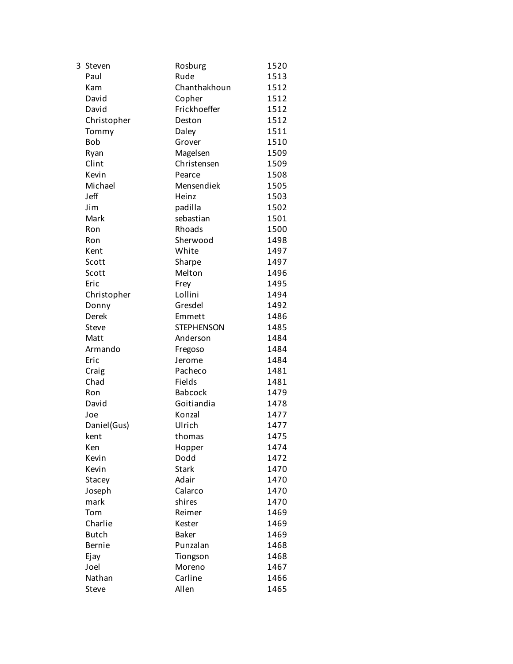| 3 | Steven       | Rosburg           | 1520 |
|---|--------------|-------------------|------|
|   | Paul         | Rude              | 1513 |
|   | Kam          | Chanthakhoun      | 1512 |
|   | David        | Copher            | 1512 |
|   | David        | Frickhoeffer      | 1512 |
|   | Christopher  | Deston            | 1512 |
|   | Tommy        | Daley             | 1511 |
|   | <b>Bob</b>   | Grover            | 1510 |
|   | Ryan         | Magelsen          | 1509 |
|   | Clint        | Christensen       | 1509 |
|   | Kevin        | Pearce            | 1508 |
|   | Michael      | Mensendiek        | 1505 |
|   | Jeff         | Heinz             | 1503 |
|   | Jim          | padilla           | 1502 |
|   | Mark         | sebastian         | 1501 |
|   | Ron          | Rhoads            | 1500 |
|   | Ron          | Sherwood          | 1498 |
|   | Kent         | White             | 1497 |
|   | Scott        | Sharpe            | 1497 |
|   | Scott        | Melton            | 1496 |
|   | Eric         | Frey              | 1495 |
|   | Christopher  | Lollini           | 1494 |
|   | Donny        | Gresdel           | 1492 |
|   | Derek        | Emmett            | 1486 |
|   | Steve        | <b>STEPHENSON</b> | 1485 |
|   | Matt         | Anderson          | 1484 |
|   | Armando      | Fregoso           | 1484 |
|   | Eric         | Jerome            | 1484 |
|   | Craig        | Pacheco           | 1481 |
|   | Chad         | Fields            | 1481 |
|   | Ron          | <b>Babcock</b>    | 1479 |
|   | David        | Goitiandia        | 1478 |
|   | Joe          | Konzal            | 1477 |
|   | Daniel(Gus)  | Ulrich            | 1477 |
|   | kent         | thomas            | 1475 |
|   | Ken          | Hopper            | 1474 |
|   | Kevin        | Dodd              | 1472 |
|   | Kevin        | <b>Stark</b>      | 1470 |
|   | Stacey       | Adair             | 1470 |
|   | Joseph       | Calarco           | 1470 |
|   | mark         | shires            | 1470 |
|   | Tom          | Reimer            | 1469 |
|   | Charlie      | Kester            | 1469 |
|   | <b>Butch</b> | <b>Baker</b>      | 1469 |
|   | Bernie       | Punzalan          | 1468 |
|   | Ejay         | Tiongson          | 1468 |
|   | Joel         | Moreno            | 1467 |
|   | Nathan       | Carline           | 1466 |
|   | Steve        | Allen             | 1465 |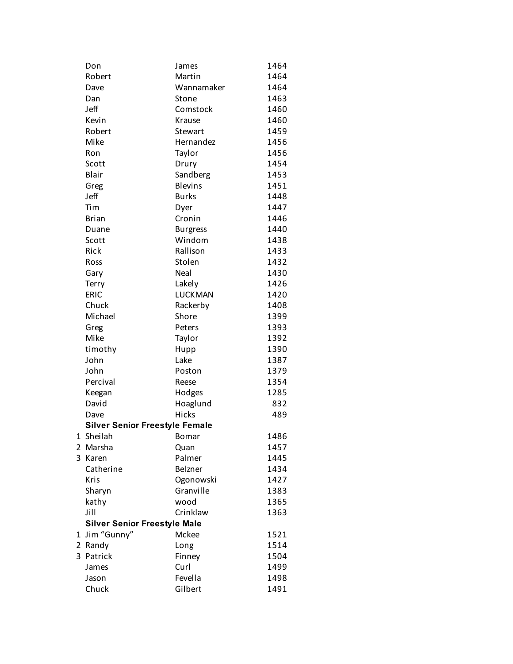| Don                                   | James           | 1464 |
|---------------------------------------|-----------------|------|
| Robert                                | Martin          | 1464 |
| Dave                                  | Wannamaker      | 1464 |
| Dan                                   | Stone           | 1463 |
| Jeff                                  | Comstock        | 1460 |
| Kevin                                 | Krause          | 1460 |
| Robert                                | <b>Stewart</b>  | 1459 |
| Mike                                  | Hernandez       | 1456 |
| Ron                                   | Taylor          | 1456 |
| Scott                                 | Drury           | 1454 |
| Blair                                 | Sandberg        | 1453 |
| Greg                                  | <b>Blevins</b>  | 1451 |
| Jeff                                  | <b>Burks</b>    | 1448 |
| Tim                                   | Dyer            | 1447 |
| <b>Brian</b>                          | Cronin          | 1446 |
| Duane                                 | <b>Burgress</b> | 1440 |
| Scott                                 | Windom          | 1438 |
| Rick                                  | Rallison        | 1433 |
| Ross                                  | Stolen          | 1432 |
| Gary                                  | Neal            | 1430 |
| Terry                                 | Lakely          | 1426 |
| <b>ERIC</b>                           | LUCKMAN         | 1420 |
| Chuck                                 | Rackerby        | 1408 |
| Michael                               | Shore           | 1399 |
| Greg                                  | Peters          | 1393 |
| Mike                                  | Taylor          | 1392 |
| timothy                               | Hupp            | 1390 |
| John                                  | Lake            | 1387 |
| John                                  | Poston          | 1379 |
| Percival                              | Reese           | 1354 |
| Keegan                                | Hodges          | 1285 |
| David                                 | Hoaglund        | 832  |
| Dave                                  | Hicks           | 489  |
| <b>Silver Senior Freestyle Female</b> |                 |      |
| 1 Sheilah                             | Bomar           | 1486 |
| 2 Marsha                              | Quan            | 1457 |
| 3 Karen                               | Palmer          | 1445 |
| Catherine                             | Belzner         | 1434 |
| Kris                                  | Ogonowski       | 1427 |
| Sharyn                                | Granville       | 1383 |
| kathy                                 | wood            | 1365 |
| Jill                                  | Crinklaw        | 1363 |
| <b>Silver Senior Freestyle Male</b>   |                 |      |
| 1 Jim "Gunny"                         | Mckee           | 1521 |
| 2 Randy                               | Long            | 1514 |
| 3 Patrick                             | Finney          | 1504 |
| James                                 | Curl            | 1499 |
| Jason                                 | Fevella         | 1498 |
| Chuck                                 | Gilbert         | 1491 |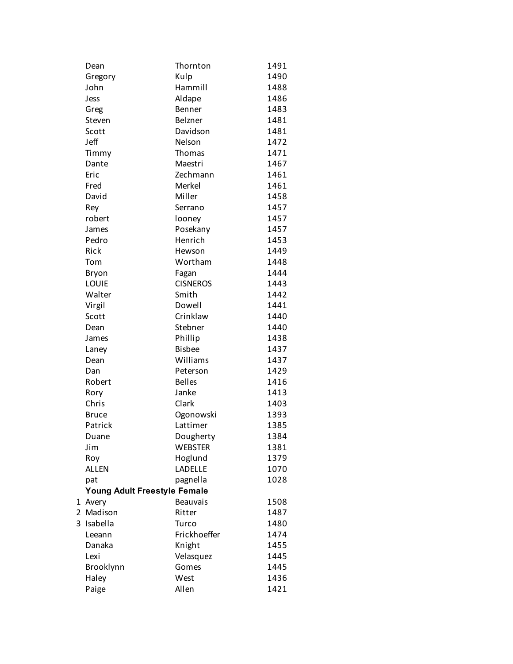|   | Dean                         | Thornton        | 1491 |
|---|------------------------------|-----------------|------|
|   | Gregory                      | Kulp            | 1490 |
|   | John                         | Hammill         | 1488 |
|   | Jess                         | Aldape          | 1486 |
|   | Greg                         | Benner          | 1483 |
|   | Steven                       | Belzner         | 1481 |
|   | Scott                        | Davidson        | 1481 |
|   | Jeff                         | Nelson          | 1472 |
|   | Timmy                        | Thomas          | 1471 |
|   | Dante                        | Maestri         | 1467 |
|   | Eric                         | Zechmann        | 1461 |
|   | Fred                         | Merkel          | 1461 |
|   | David                        | Miller          | 1458 |
|   | Rey                          | Serrano         | 1457 |
|   | robert                       | looney          | 1457 |
|   | James                        | Posekany        | 1457 |
|   | Pedro                        | Henrich         | 1453 |
|   | Rick                         | Hewson          | 1449 |
|   | Tom                          | Wortham         | 1448 |
|   | Bryon                        | Fagan           | 1444 |
|   | LOUIE                        | <b>CISNEROS</b> | 1443 |
|   | Walter                       | Smith           | 1442 |
|   | Virgil                       | Dowell          | 1441 |
|   | Scott                        | Crinklaw        | 1440 |
|   | Dean                         | Stebner         | 1440 |
|   | James                        | Phillip         | 1438 |
|   | Laney                        | <b>Bisbee</b>   | 1437 |
|   | Dean                         | Williams        | 1437 |
|   | Dan                          | Peterson        | 1429 |
|   | Robert                       | <b>Belles</b>   | 1416 |
|   | Rory                         | Janke           | 1413 |
|   | Chris                        | Clark           | 1403 |
|   | <b>Bruce</b>                 | Ogonowski       | 1393 |
|   | Patrick                      | Lattimer        | 1385 |
|   | Duane                        | Dougherty       | 1384 |
|   | Jim                          | <b>WEBSTER</b>  | 1381 |
|   | Roy                          | Hoglund         | 1379 |
|   | <b>ALLEN</b>                 | LADELLE         | 1070 |
|   | pat                          | pagnella        | 1028 |
|   | Young Adult Freestyle Female |                 |      |
|   | 1 Avery                      | <b>Beauvais</b> | 1508 |
|   | 2 Madison                    | Ritter          | 1487 |
| 3 | Isabella                     | Turco           | 1480 |
|   | Leeann                       | Frickhoeffer    | 1474 |
|   | Danaka                       | Knight          | 1455 |
|   | Lexi                         | Velasquez       | 1445 |
|   | Brooklynn                    | Gomes           | 1445 |
|   | Haley                        | West            | 1436 |
|   | Paige                        | Allen           | 1421 |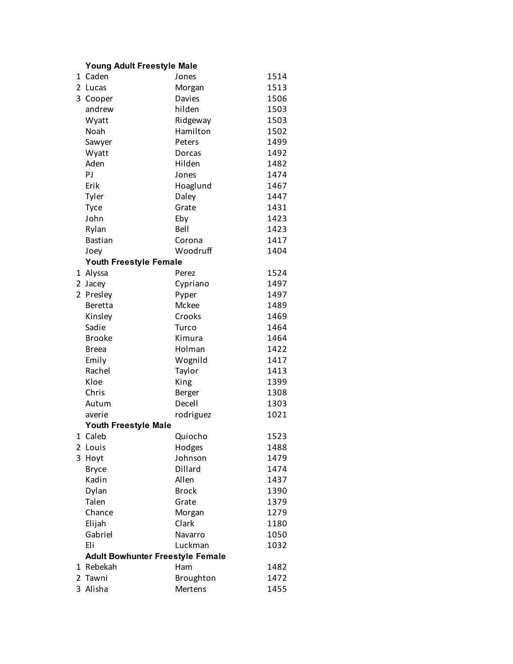## **Young Adult Freestyle Male**

| 1              | Caden                                   | Jones        | 1514 |
|----------------|-----------------------------------------|--------------|------|
| 2              | Lucas                                   | Morgan       | 1513 |
| 3              | Cooper                                  | Davies       | 1506 |
|                | andrew                                  | hilden       | 1503 |
|                | Wyatt                                   | Ridgeway     | 1503 |
|                | Noah                                    | Hamilton     | 1502 |
|                | Sawyer                                  | Peters       | 1499 |
|                | Wyatt                                   | Dorcas       | 1492 |
|                | Aden                                    | Hilden       | 1482 |
|                | PJ                                      | Jones        | 1474 |
|                | Erik                                    | Hoaglund     | 1467 |
|                | Tyler                                   | Daley        | 1447 |
|                | <b>Tyce</b>                             | Grate        | 1431 |
|                | John                                    | Eby          | 1423 |
|                | Rylan                                   | Bell         | 1423 |
|                | <b>Bastian</b>                          | Corona       | 1417 |
|                | Joey                                    | Woodruff     | 1404 |
|                | <b>Youth Freestyle Female</b>           |              |      |
| 1              | Alyssa                                  | Perez        | 1524 |
| 2              | Jacey                                   | Cypriano     | 1497 |
| $\overline{2}$ | Presley                                 | Pyper        | 1497 |
|                | Beretta                                 | Mckee        | 1489 |
|                | Kinsley                                 | Crooks       | 1469 |
|                | Sadie                                   | Turco        | 1464 |
|                | <b>Brooke</b>                           | Kimura       | 1464 |
|                | <b>Breea</b>                            | Holman       | 1422 |
|                | Emily                                   | Wognild      | 1417 |
|                | Rachel                                  | Taylor       | 1413 |
|                | Kloe                                    | King         | 1399 |
|                | Chris                                   | Berger       | 1308 |
|                | Autum                                   | Decell       | 1303 |
|                | averie                                  | rodriguez    | 1021 |
|                | <b>Youth Freestyle Male</b>             |              |      |
|                | 1 Caleb                                 | Quiocho      | 1523 |
|                | 2 Louis                                 | Hodges       | 1488 |
|                | 3 Hoyt                                  | Johnson      | 1479 |
|                | <b>Bryce</b>                            | Dillard      | 1474 |
|                | Kadin                                   | Allen        | 1437 |
|                | Dylan                                   | <b>Brock</b> | 1390 |
|                | Talen                                   | Grate        | 1379 |
|                | Chance                                  | Morgan       | 1279 |
|                | Elijah                                  | Clark        | 1180 |
|                | Gabriel                                 | Navarro      | 1050 |
|                | Eli                                     | Luckman      | 1032 |
|                | <b>Adult Bowhunter Freestyle Female</b> |              |      |
| 1              | Rebekah                                 | Ham          | 1482 |
| $\overline{2}$ | Tawni                                   | Broughton    | 1472 |
|                | 3 Alisha                                | Mertens      | 1455 |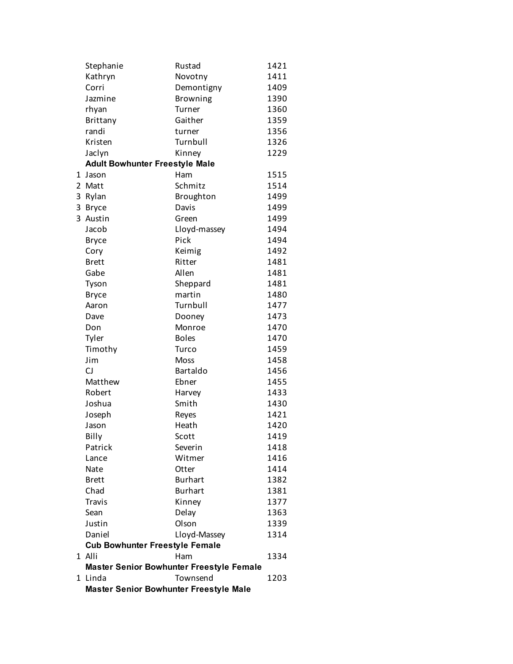|   | <b>Master Senior Bowhunter Freestyle Male</b> |                                                 |              |
|---|-----------------------------------------------|-------------------------------------------------|--------------|
|   | 1 Linda                                       | Townsend                                        | 1203         |
|   |                                               | <b>Master Senior Bowhunter Freestyle Female</b> |              |
|   | 1 Alli                                        | Ham                                             | 1334         |
|   | <b>Cub Bowhunter Freestyle Female</b>         |                                                 |              |
|   | Daniel                                        | Lloyd-Massey                                    | 1314         |
|   | Justin                                        | Olson                                           | 1339         |
|   | Sean                                          | Delay                                           | 1363         |
|   | <b>Travis</b>                                 | Kinney                                          | 1377         |
|   | Chad                                          | <b>Burhart</b>                                  | 1381         |
|   | <b>Brett</b>                                  | <b>Burhart</b>                                  | 1382         |
|   | Nate                                          | Otter                                           | 1414         |
|   | Lance                                         | Witmer                                          | 1416         |
|   | Patrick                                       | Severin                                         | 1418         |
|   | Billy                                         | Scott                                           | 1419         |
|   | Jason                                         | Heath                                           | 1420         |
|   | Joseph                                        | Reyes                                           | 1421         |
|   | Joshua                                        | Smith                                           | 1430         |
|   | Robert                                        | Harvey                                          | 1433         |
|   | Matthew                                       | Ebner                                           | 1455         |
|   | CJ                                            | <b>Bartaldo</b>                                 | 1456         |
|   | Jim                                           | <b>Moss</b>                                     | 1458         |
|   | Timothy                                       | Turco                                           | 1459         |
|   | Tyler                                         | <b>Boles</b>                                    | 1470         |
|   | Don                                           | Monroe                                          | 1470         |
|   | Dave                                          | Dooney                                          | 1473         |
|   | Aaron                                         | Turnbull                                        | 1477         |
|   | <b>Bryce</b>                                  | martin                                          | 1480         |
|   | Tyson                                         | Sheppard                                        | 1481         |
|   | Gabe                                          | Allen                                           | 1481         |
|   | <b>Brett</b>                                  | Ritter                                          | 1481         |
|   | Cory                                          | Keimig                                          | 1492         |
|   | <b>Bryce</b>                                  | Pick                                            | 1494         |
|   | Jacob                                         | Lloyd-massey                                    | 1494         |
| 3 | Austin                                        | Green                                           | 1499         |
|   | 3 Bryce                                       | Davis                                           | 1499         |
| 3 | Rylan                                         | Broughton                                       | 1499         |
| 2 | Matt                                          | Schmitz                                         | 1514         |
| 1 | Jason                                         | Ham                                             | 1515         |
|   | <b>Adult Bowhunter Freestyle Male</b>         |                                                 |              |
|   | Jaclyn                                        | Kinney                                          | 1229         |
|   | Kristen                                       | Turnbull                                        | 1326         |
|   | randi                                         | turner                                          | 1356         |
|   | rhyan<br>Brittany                             | Gaither                                         | 1359         |
|   | Jazmine                                       | <b>Browning</b><br>Turner                       | 1390<br>1360 |
|   | Corri                                         | Demontigny                                      | 1409         |
|   | Kathryn                                       | Novotny                                         | 1411         |
|   | Stephanie                                     | Rustad                                          | 1421         |
|   |                                               |                                                 |              |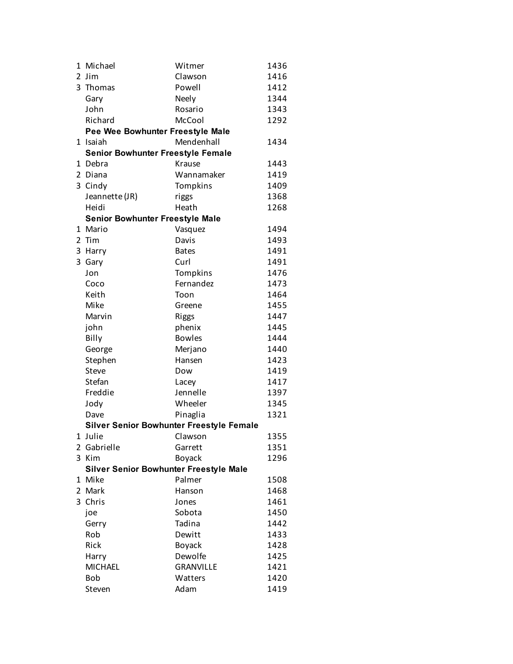|                | 1 Michael                              | Witmer                                   | 1436 |
|----------------|----------------------------------------|------------------------------------------|------|
| $\mathbf{2}$   | <b>Jim</b>                             | Clawson                                  | 1416 |
|                | 3 Thomas                               | Powell                                   | 1412 |
|                | Gary                                   | Neely                                    | 1344 |
|                | John                                   | Rosario                                  | 1343 |
|                | Richard                                | McCool                                   | 1292 |
|                | Pee Wee Bowhunter Freestyle Male       |                                          |      |
|                | 1 Isaiah                               | Mendenhall                               | 1434 |
|                | Senior Bowhunter Freestyle Female      |                                          |      |
|                | 1 Debra                                | Krause                                   | 1443 |
| $\overline{2}$ | Diana                                  | Wannamaker                               | 1419 |
|                | 3 Cindy                                | Tompkins                                 | 1409 |
|                | Jeannette (JR)                         | riggs                                    | 1368 |
|                | Heidi                                  | Heath                                    | 1268 |
|                | <b>Senior Bowhunter Freestyle Male</b> |                                          |      |
|                | 1 Mario                                | Vasquez                                  | 1494 |
| $\overline{2}$ | Tim                                    | Davis                                    | 1493 |
| 3              | Harry                                  | <b>Bates</b>                             | 1491 |
| 3              | Gary                                   | Curl                                     | 1491 |
|                | Jon                                    | Tompkins                                 | 1476 |
|                | Coco                                   | Fernandez                                | 1473 |
|                | Keith                                  | Toon                                     | 1464 |
|                | Mike                                   | Greene                                   | 1455 |
|                | Marvin                                 | <b>Riggs</b>                             | 1447 |
|                | john                                   | phenix                                   | 1445 |
|                | Billy                                  | <b>Bowles</b>                            | 1444 |
|                | George                                 | Merjano                                  | 1440 |
|                | Stephen                                | Hansen                                   | 1423 |
|                | Steve                                  | Dow                                      | 1419 |
|                | Stefan                                 | Lacey                                    | 1417 |
|                | Freddie                                | Jennelle                                 | 1397 |
|                | Jody                                   | Wheeler                                  | 1345 |
|                | Dave                                   | Pinaglia                                 | 1321 |
|                |                                        | Silver Senior Bowhunter Freestyle Female |      |
|                | 1 Julie                                | Clawson                                  | 1355 |
|                | 2 Gabrielle                            | Garrett                                  | 1351 |
|                | 3 Kim                                  | <b>Boyack</b>                            | 1296 |
|                | Silver Senior Bowhunter Freestyle Male |                                          |      |
|                | 1 Mike                                 | Palmer                                   | 1508 |
|                | 2 Mark                                 | Hanson                                   | 1468 |
| 3              | Chris                                  | Jones                                    | 1461 |
|                | joe                                    | Sobota                                   | 1450 |
|                | Gerry                                  | Tadina                                   | 1442 |
|                | Rob                                    | Dewitt                                   | 1433 |
|                | Rick                                   | Boyack                                   | 1428 |
|                | Harry                                  | Dewolfe                                  | 1425 |
|                | <b>MICHAEL</b>                         | <b>GRANVILLE</b>                         | 1421 |
|                | Bob                                    | Watters                                  | 1420 |
|                | Steven                                 | Adam                                     | 1419 |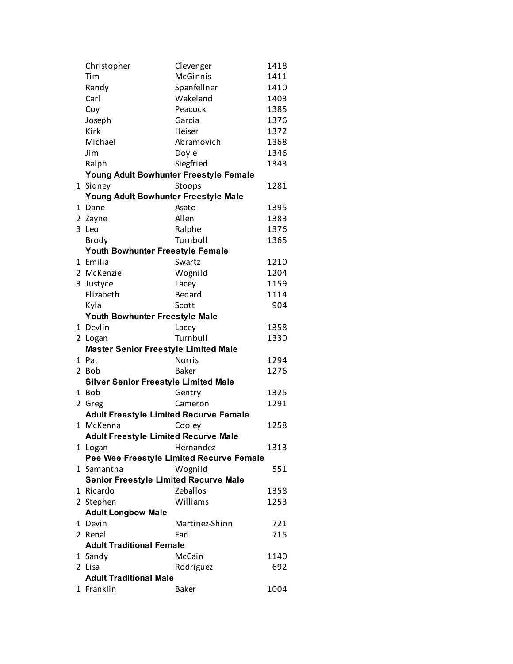|   | Christopher                                   | Clevenger                                | 1418         |
|---|-----------------------------------------------|------------------------------------------|--------------|
|   | Tim                                           | <b>McGinnis</b>                          | 1411         |
|   | Randy                                         | Spanfellner                              | 1410         |
|   | Carl                                          | Wakeland                                 | 1403         |
|   | Coy                                           | Peacock                                  | 1385         |
|   | Joseph                                        | Garcia                                   | 1376         |
|   | Kirk                                          | Heiser                                   | 1372         |
|   | Michael                                       | Abramovich                               | 1368         |
|   | Jim                                           | Doyle                                    | 1346         |
|   | Ralph                                         | Siegfried                                | 1343         |
|   | Young Adult Bowhunter Freestyle Female        |                                          |              |
|   | 1 Sidney                                      | Stoops                                   | 1281         |
|   | Young Adult Bowhunter Freestyle Male          |                                          |              |
| 1 | Dane                                          | Asato                                    | 1395         |
|   | 2 Zayne                                       | Allen                                    | 1383         |
|   | 3 Leo                                         | Ralphe                                   | 1376         |
|   | <b>Brody</b>                                  | Turnbull                                 | 1365         |
|   | Youth Bowhunter Freestyle Female              |                                          |              |
|   | 1 Emilia                                      | Swartz                                   | 1210         |
|   | 2 McKenzie                                    | Wognild                                  | 1204         |
|   | 3 Justyce                                     | Lacey                                    | 1159         |
|   | Elizabeth                                     | <b>Bedard</b>                            | 1114         |
|   | Kyla                                          | Scott                                    | 904          |
|   | Youth Bowhunter Freestyle Male                |                                          |              |
|   | 1 Devlin                                      | Lacey                                    | 1358         |
|   | 2 Logan                                       | Turnbull                                 | 1330         |
|   | <b>Master Senior Freestyle Limited Male</b>   |                                          |              |
|   | 1 Pat                                         | <b>Norris</b>                            | 1294         |
|   | 2 Bob                                         | <b>Baker</b>                             | 1276         |
|   | <b>Silver Senior Freestyle Limited Male</b>   |                                          |              |
|   | 1 Bob                                         | Gentry                                   | 1325         |
|   | 2 Greg                                        | Cameron                                  | 1291         |
|   | <b>Adult Freestyle Limited Recurve Female</b> |                                          |              |
|   | 1 McKenna                                     | Cooley                                   | 1258         |
|   | <b>Adult Freestyle Limited Recurve Male</b>   |                                          |              |
|   | 1 Logan                                       | Hernandez                                | 1313         |
|   |                                               | Pee Wee Freestyle Limited Recurve Female |              |
|   | 1 Samantha                                    | Wognild                                  | 551          |
|   | <b>Senior Freestyle Limited Recurve Male</b>  |                                          |              |
|   | 1 Ricardo<br>2 Stephen                        | Zeballos<br>Williams                     | 1358<br>1253 |
|   |                                               |                                          |              |
|   | <b>Adult Longbow Male</b>                     |                                          |              |
|   | 1 Devin<br>2 Renal                            | Martinez-Shinn<br>Earl                   | 721<br>715   |
|   | <b>Adult Traditional Female</b>               |                                          |              |
|   |                                               | McCain                                   |              |
|   | 1 Sandy<br>2 Lisa                             | Rodriguez                                | 1140<br>692  |
|   | <b>Adult Traditional Male</b>                 |                                          |              |
|   | 1 Franklin                                    | <b>Baker</b>                             | 1004         |
|   |                                               |                                          |              |